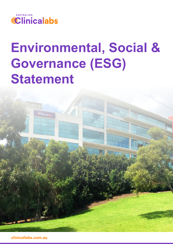

# **Environmental, Social & Governance (ESG) Statement**



**clinicallabs.com.au**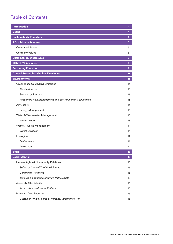# <span id="page-1-0"></span>Table of Contents

| <b>Introduction</b>                                     | 4               |
|---------------------------------------------------------|-----------------|
| <b>Scope</b>                                            | 4               |
| <b>Sustainability Reporting</b>                         | 4               |
| <b>ACL's Mission &amp; Values</b>                       | $5\phantom{1}$  |
| <b>Company Mission</b>                                  | 5               |
| <b>Company Values</b>                                   | 5               |
| <b>Sustainability Disclosures</b>                       | 6               |
| <b>COVID-19 Response</b>                                | $\overline{7}$  |
| <b>Furthering Education</b>                             | 9               |
| <b>Clinical Research &amp; Medical Excellence</b>       | 11              |
| <b>Environmental</b>                                    | 13 <sub>1</sub> |
| Greenhouse Gas (GHG) Emissions                          | 13              |
| <b>Mobile Sources</b>                                   | 13              |
| <b>Stationary Sources</b>                               | 13              |
| Regulatory Risk Management and Environmental Compliance | 13              |
| <b>Air Quality</b>                                      | 13              |
| <b>Energy Management</b>                                | 13              |
| Water & Wastewater Management                           | 13              |
| <b>Water Usage</b>                                      | 13              |
| Waste & Waste Management                                | 14              |
| <b>Waste Disposal</b>                                   | 14              |
| Ecological                                              | 14              |
| Environment                                             | 14              |
| Innovation                                              | 14              |
| <b>Social</b>                                           | 15              |
| <b>Social Capital</b>                                   | 15              |
| Human Rights & Community Relations                      | 15              |
| <b>Safety of Clinical Trial Participants</b>            | 15              |
| <b>Community Relations</b>                              | 15              |
| Training & Education of future Pathologists             | 15              |
| <b>Access &amp; Affordability</b>                       | 15              |
| <b>Access for Low-Income Patients</b>                   | 15              |
| Privacy & Data Security                                 | 16              |
| Customer Privacy & Use of Personal Information (PI)     | 16              |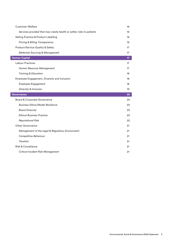| <b>Customer Welfare</b>                                              | 16 |
|----------------------------------------------------------------------|----|
| Services provided that may create health or safety risks to patients | 16 |
| Selling Practice & Product Labelling                                 | 16 |
| <b>Pricing &amp; Billing Transparency</b>                            | 16 |
| Product/Service Quality & Safety                                     | 17 |
| <b>Materials Sourcing &amp; Management</b>                           | 17 |
| <b>Human Capital</b>                                                 | 17 |
| <b>Labour Practices</b>                                              | 17 |
| Human Resource Management                                            | 17 |
| <b>Training &amp; Education</b>                                      | 18 |
| Employee Engagement, Diversity and Inclusion                         | 18 |
| <b>Employee Engagement</b>                                           | 18 |
| Diversity & Inclusion                                                | 19 |
| <b>Governance</b>                                                    | 20 |
| Board & Corporate Governance                                         | 20 |
| <b>Business Ethics/Model Resilience</b>                              | 20 |
| <b>Board Diversity</b>                                               | 20 |
| <b>Ethical Business Practice</b>                                     | 20 |
| <b>Reputational Risk</b>                                             | 20 |
| <b>Other Governance</b>                                              | 21 |
| Management of the Legal & Regulatory Environment                     | 21 |
| Competitive Behaviour                                                | 21 |
| <b>Taxation</b>                                                      | 21 |
| Risk & Compliance                                                    | 21 |
| <b>Critical Incident Risk Management</b>                             | 21 |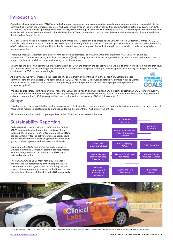# <span id="page-3-0"></span>Introduction

Australian Clinical Labs Limited (**ACL**)1 is an industry leader committed to providing positive social impact and contributing meaningfully to the communities in which the Company operates. ACL was formed through the integration of Healthscope's Australian pathology business in 2015, St John of God Health Care's pathology business in 2016, Perth Pathology in 2016 and SunDoctors in 2021. ACL currently provides pathology and other related services to communities in Victoria, New South Wales, Queensland, the Northern Territory, Western Australia, South Australia and the Australian Capital Territory.

ACL operates 86 National Association of Testing Authorities (NATA) accredited laboratories and 995 Accredited Collection Centres (ACC), 30 specialist skin cancer clinics and services over 90 hospitals including public and private. There are approximately 3,850 people under the employ of ACL who assist with performing millions of episodes each year, for a range of clients, including doctors, specialists, patients, hospitals and corporate clients.

This is our first ESG Statement outlining relevant policies and practices, as of August 2021, that align with ACL's values of continuous improvement. Our Environmental, Social and Governance (ESG) strategy and activities are integrated into business practice, with effort across a range of foci and an additional program focusing on particular areas.

Striving for and achieving continuous improvement is in our DNA and through the collective mind, we aim to empower decision-making that saves and improves lives. We acknowledge the vital role ACL's contribution can play in helping to address global sustainability challenges and have considered our ESG position accordingly.

As a company, we have considered our sustainability commitment and contribution in the context of Australia's global commitment to the Sustainable Development Goals (**SDG**s). These Global Goals were adopted by all United Nations Member States in 2015 as a universal call to action to end poverty, protect the planet and ensure that all people enjoy peace and prosperity by 2030.



We have appropriately identified particular regard for SDG 3 (good health and well-being), SDG 4 (quality education), SDG 5 (gender equality), SDG 8 (decent work and economic growth), SDG 9 (industry, innovation and infrastructure), SDG 10 (reduced inequalities), SDG 11 (sustainable cities and communities), SDG 12 (responsible consumption and production) and SDG 13 (climate action).

## Scope

This Statement relates to all staff under the employ of ACL, ACL suppliers, contractors and the Board; all activities undertaken by or on behalf of ACL; and all facilities operated and/or managed under the direct control of ACL employing entities.

All business operations are in scope regardless of their function, unless stated otherwise.

# Sustainability Reporting

Collectively with the Board, the Chief Executive Officer (**CEO**) oversees the development and delivery of our sustainability strategy. The Chief Operating Officer (**COO**) has accountability for the delivery of sustainability goals and has the authority within the organisation to influence goals, activities, systems and behaviours at all levels.

Reporting to the CEO (and COO) the State Executive Officers (**SEO**s) and Company Secretary are responsible for the management and performance of ESG-related risks and opportunities.

The CEO, COO and SEOs meet regularly to manage and measure the performance of the Company. ESG is part of the Executive agenda and sustainability risk and opportunities are regularly reported to the Board, through the reporting channels of the CEO and COO respectively.





1 The expressions "we", "us", "our", "ACL" and "the Company" refer to Australian Clinical Labs Limited and/or its subsidiaries as the context is appropriate.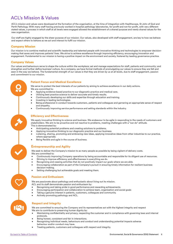# <span id="page-4-0"></span>ACL's Mission & Values

ACL's mission and values were developed at the formation of the organisation, at the time of integration with Healthscope, St John of God and Perth Pathology. With many staff having previously worked in hospital pathology laboratories, for-profit and not-for-profit, with very different stated values, a process in which staff at all levels were engaged allowed the establishment of a shared purpose and newly shared values for the new organisation. With many staff having previously worked in hospital pathology laboratories, for profit and not for profit and not for profit and not for profit and not for profit and not for profit, with very different

Our staff are highly engaged by the sheer purpose of our mission. Our values, also developed with staff engagement, are key to how we behave and expect others to behave as we act and interact to fulfil our mission. Our staff are highly engaged by the sheer purpose of our mission. Our values, also developed with staff engagement, are key to how we behave

#### **Company Mission**

Our mission is to combine medical and scientific leadership and talented people with innovative thinking and technologies to empower decision-**Company Mission** making that saves and improves patients' lives. We strive to achieve excellence through improving efficiency, encouraging innovation and engagement. Fundamental to our mission is having a positive impact on the environment and society, fostered by leading governance practice. making that saves and improves patients' lives. We strive to achieve excellence through improving efficiency, encouraging innovation and

#### **Company Values**   $\epsilon$  mission is having a positive impact on the environment and society, fostered by leading governance practice.

Our values and behaviours serve to shape the culture within the workplace; set and manage expectations for staff, patients and community; and **Company Values**  strengthen and further define business' culture. As a company, we have formal methods of promulgating our values to ensure they are felt and strengthen and further define business culture. As a company, we have formal methods or promulgating our values to ensure they are left and<br>seen in the way we behave. The fundamental strength of our values is that they are and commitment to our mission. seem in the way we behave. The fundamental strength of our values is that they are dirveriby us at an levels, due to start engagement, passion and communent to our mission.

# <u>Q</u>  $\boldsymbol{\lambda}$  $\frac{1}{2}$  $\blacktriangledown$  $\bigcirc$

#### **Patient Focus and Medical Excellence Patient Focus and Medical Excellence**

We serve to protect the best interests of our patients by aiming to achieve excellence in our daily actions. We serve to protect the best interests of our patients by aiming to achieve excellence in our daily actions. We are committed to: We are committed to:

- Applying evidence-based practice to our diagnostic practice and medical care. Applying evidence-based practice to our diagnostic practice and medical care.
- Utilising best practice science to deliver accurate and timely results. Utilising best practice science to deliver accurate and timely results.
- Continuously developing our skills and expertise through education and training. Continuously developing our skills and expertise through education and training.
- Investing in leading technologies. Investing in leading technologies.
- Being professional in conduct towards customers, patients and colleagues and garnering an appropriate sense of respect and empathy. and empathy.
- Continuously improving service performance and setting standards within the industry. Continuously improving service performance and setting standards within the industry.

#### **Efficiency and Effectiveness Efficiency and Effectiveness**

We apply innovative thinking to science and business. We endeavour to be agile in responding to the needs of customers and stakeholders. We aim to be proactive and not reactive to problems, meeting challenges with a "can do" attitude. stakeholders. We aim to be proactive and not reactive to problems; meeting challenges with a "can do" attitude. This is demonstrated by: This is demonstrated by:

- Anticipating potential problems and creating solutions to problems. Anticipating potential problems, creating solutions to problems.
- Applying innovative thinking to our diagnostic practice and our business. Applying innovative thinking to our diagnostic practice and our business
- · Listening, sharing, promoting and embracing new ideas, applying innovative ideas from other industries to our practice, where appropriate.
- Being flexible and agile in the course of business. Being flexible and agile in the course of business.

#### **Entrepreneurship and Agility Entrepreneurship and Agility**

We seek to deliver the Company's mission to as many people as possible by being vigilant of delivery costs.

- We are committed to: We are committed to:
- Continuously improving Company operations by being accountable and responsible for its diligent use of resources.
- Striving to improve efficiency and effectiveness in everything we do. Striving to improve efficiency and effectiveness in everything we do.
- Recognising and ceasing activities that do not positively impact our goals where we are able. Recognising and ceasing activities that don't positively impact our goals where we are able.
- Encouraging collaboration as part of the Company's pursuit in ensuring timely information for resilient business decision-making. decision-making.
- Setting challenging but achievable goals and meeting them. Setting challenging but achievable goals and meeting them.

### **Passion and Enthusiasm Passion and Enthusiasm**

We are passionate about pathology and enthusiastic about living out its mission. We are passionate about pathology and enthusiastic about living out its mission. we are passionate about pathology and enthusiastic abo

ACL and its staff demonstrate passion and enthusiasm by:

- Recognising and taking pride in good performance and rewarding achievements.
- Encouraging participation and collaboration to achieve team, organisation and social goals
- Taking a genuine interest in patients, customers, colleagues and community.
- Actively promoting pathology and ACL.

# **Respect and Integrity Respect and Integrity**

We are committed to ensuring the Company and its representatives act with the highest integrity and respect We aim to contribute to preserving human dignity by:  $W_{\text{reco}}$  and its representative same  $\mathcal{E}$ We are committed to ensuring the Company and its

- Maintaining confidentiality and privacy, respecting the customer and in compliance with governing laws and internal  $\mathsf{protocols.}$
- $\bullet$  Being honest, consistent and fair in interactions.
- Recognising individual needs, behaviours and conduct and understanding potential impacts adverse behaviour and/or conduct may have.
- Treating patients, customers and colleagues with respect and integrity.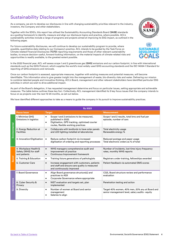# <span id="page-5-0"></span>Sustainability Disclosures

As a company, we aim to develop our disclosures in line with changing sustainability priorities relevant to the industry, investors, the Company and other stakeholders.

Together with the SDG's, this report has utilised the Sustainability Accounting Standards Board (**SASB**) standards as a guiding framework to identify, measure and align our disclosure topics and practice, where possible. ACL's sustainability activities include a range of programs and projects aimed at improving its ESG impact, as outlined in the following pages.

For future sustainability disclosures, we will continue to develop our sustainability program to provide, where possible, quantitative data relating to our Company's practice. ACL intends to be guided by the Task Force on Climate-related Financial Disclosures (**TCFD**) reporting requirements and those of other relevant sustainability bodies, to ensure decision-useful, forward-looking information, on the material impacts of climate-related risks and opportunities is readily available, to the greatest extent possible.

In the 2022 financial year, ACL will assess scope 1 and 2 greenhouse gas (**GHG**) emissions and our carbon footprint, in line with international standards such as the GHG Protocol, which supplies the world's most widely used GHG accounting standards and the ISO 14064-1 Standard for reporting of GHG emissions and removals.

Once our carbon footprint is assessed, appropriate measures, together with existing measures and potential measures, will become identifiable. This information aims to give greater insight into the management of waste, bio-diversity risks and water. Delivering our mission to combine talented people and innovative thinking, ACL's Board, management and other relevant stakeholders have identified particular ESG activities in which we wish to drive additional impact.

As part of the Board's delegation, it has requested management determine and focus on particular issues, setting appropriate and achievable measures. The table below outlines these key foci. Collectively, ACL management identified its 9 key focus issues that the company intends to focus on as projects over the next 12-24 months, as set out below.

We have identified different approaches to take as a means to guide the company in its pursuit to improve sustainability practices.

|               | <b>By 2023</b>                                                  |                                                                                                                                                                                |                                                                                                    |  |  |  |  |  |  |
|---------------|-----------------------------------------------------------------|--------------------------------------------------------------------------------------------------------------------------------------------------------------------------------|----------------------------------------------------------------------------------------------------|--|--|--|--|--|--|
|               | <b>Focus Issue</b>                                              | <b>Target</b>                                                                                                                                                                  | <b>Measurement</b>                                                                                 |  |  |  |  |  |  |
|               | 1. Minimise GHG<br>Emissions in logistics                       | Scope 1 and 2 emissions to be measured,<br>$\bullet$<br>published in 2022.<br>Digitisation, GPS tracking, optimised courier<br>$\bullet$<br>routes, flexible working practices | Scope 1 and 2 results, total kms and fuel per<br>episode, number of cars                           |  |  |  |  |  |  |
| Environmental | 2. Energy Reduction at<br><b>Facilities</b>                     | Collaborate with landlords to have solar panels<br>$\bullet$<br>and LED lighting installed at laboratories                                                                     | Total electricity usage<br>Renewable energy %                                                      |  |  |  |  |  |  |
|               | 3. Innovation/Digitisation                                      | Reduce carbon footprint via increased<br>$\bullet$<br>digitisation of ordering and reporting processes                                                                         | Reduced postage and paper usage<br>Total electronic orders as % of total                           |  |  |  |  |  |  |
|               | 4. Workplace Health &<br>Safety (WHS) for staff<br>and patients | WHS managers comprehensive audit and<br>$\bullet$<br>improvement of practice<br>Continuous Improvement framework<br>$\bullet$                                                  | Number of incidents, lost time injury frequency<br>rates, monthly WHS reports                      |  |  |  |  |  |  |
| Social        | 5. Training & Education                                         | Training future generations of pathologists<br>$\bullet$                                                                                                                       | Registrars under training, fellowships awarded                                                     |  |  |  |  |  |  |
|               | 6. Customer Care                                                | Increase engagement with customers, patients<br>$\bullet$<br>and staff and ensure care quality is measured<br>and continuously improved                                        | Patient feedback via automated SMS scores                                                          |  |  |  |  |  |  |
|               | 7. Board Governance                                             | Align Board governance structure(s) and<br>$\bullet$<br>practices to ASX<br>Corporate Governance where appropriate<br>$\bullet$                                                | CGS, Board structure review and performance<br>evaluation                                          |  |  |  |  |  |  |
| Governance    | 8. Cyber Security &<br>Privacy                                  | NIST evaluation and targets set, plan<br>$\bullet$<br>implemented                                                                                                              | Penetration testing and action                                                                     |  |  |  |  |  |  |
|               | 9. Diversity                                                    | Number of women at Board and senior<br>$\bullet$<br>management<br>Salaries to align<br>$\bullet$                                                                               | Target 40% women, 40% men, 20% any at Board and<br>senior management level, salary audits - equity |  |  |  |  |  |  |



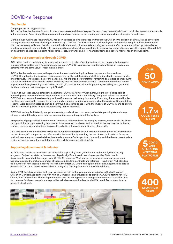# <span id="page-6-0"></span>COVID-19 Response

#### **Our People**

#### Our people are our biggest asset.

ACL recognises the dynamic industry in which we operate and the subsequent impact it may have on individuals, particularly given our acute role in the pandemic. Accordingly, the management team have focused on developing particular support and strategies for self-care.

Our Employee Assistance Program (EAP) has been updated to give extra support throughout COVID-19 to assist in dealing with and developing strategies to overcome new challenges presented by COVID-19. Our EAP extends to all employees, with the aim to equip vulnerable members with the necessary skills to assist with human flourishment and cultivate a safe working environment. Our program provides opportunities for employees to speak confidentially with experienced counsellors, who are qualified to assist with a range of issues. We offer support through EAP on general life challenges including relationship issues, grievance and loss, financial affairs, and general mental health and wellbeing.

#### **Helping our communities through COVID**

ACL prides itself on maintaining its strong values, which not only reflect the culture of the company, but also principles of ethics and honesty. Accordingly, during our COVID-19 response, we maintained our focus on treating our patients with the same values, respect and dignity.

ACL's effective early response to the pandemic focused on delivering its mission to save and improve lives. COVID-19 highlighted the business' resilience and the agility and flexibility of staff, in being able to respond quickly and effectively to the necessities of the pandemic. We are proud of our staff for remaining committed to embodying our values and their efforts made toward exercising medical excellence to patients. Our communities have shown appreciation through sending cards, notes, emails, gifts and formal acknowledgements, extending their gratuities for the excellence that was displayed by ACL staff.

As part of our response, we established a National COVID-19 Advisory Group, including the medical specialist leadership and representatives of key functions. Our National COVID-19 Advisory Group met daily at the peak of COVID-19 and communicated regularly with staff to ensure their safety in practice. Examining literature and implementing best practice to respond to the continually changing conditions formed part of the Advisory Group's duties. Findings were communicated to staff and communities at large to assist with the impacts of COVID-19 and to ensure that ACL was well placed to help the community in their response.

COVID-19 testing, facilitated by our phlebotomists, courier drivers, laboratory scientists, pathologists and many others, provided the diagnostic data our communities needed to protect themselves.

Irrespective of geographical location or environmental influence from the changing seasons, our teams in the drivethrough clinics through to testing laboratories have remained motivated and inspired by the work we do. In the call centres, teams have remained compassionate and efficient, answering millions of phone calls.

ACL was also able to provide vital assistance to our doctor referrer-base. As the nation began moving to a telehealth model of care, ACL supported our referrers with the transition by enabling the use of electronic referral forms, as well as integrating automated telehealth referrals into our eOrders platform. Innovation and digitisation have made it easier for doctors to continue with their practice, whilst ensuring patient safety.

#### **Supporting Government & Industry**

All ACL state businesses have been instrumental in supporting state governments with their rigorous testing programs. Each of our state businesses has played a significant role in assisting respective State Health Departments to conduct their large-scale COVID-19 response. What started as a series of informal agreements has now expanded to include a number of successful tenders, contracts and retainers – resulting in ACL standing up a number of new testing locations to assist in the effort. ACL staff have applied their skill, diligence and care to patients and our labs have driven excellence in regard to testing volumes and turnaround times.

During FY21, ACL forged important new relationships with both government and industry in the fight against COVID-19. Clinical Labs partnered with Mining Companies and universities to provide COVID-19 testing for FIFO ('Fly-In, Fly-Out') workers. The testing not only assists the mining sector in being able to continue to provide jobs and revenue for the economy but also provides valuable community data for the WA Health Department from a research standpoint.



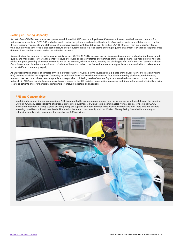#### **Setting up Testing Capacity**

As part of our COVID-19 response, we opened an additional 50 ACCs and employed over 400 new staff to service the increased demand for pathology services, from COVID-19 and other work. Under the guidance and medical leadership of our pathologists, our phlebotomists, courier drivers, laboratory scientists and staff group at large have assisted with facilitating over 1.7 million COVID-19 tests. From our laboratory teams who have provided time-crucial diagnostic data, to our procurement and logistics teams ensuring requisite equipment is available; support across different functions has contributed to our effective response.

Demonstrating the Company's resilience and agility, as new COVID-19 ACCs were set up, our business development and collection teams acted quickly and made necessary arrangements to ensure sites were adequately staffed during times of increased demand. We readied drive-through clinics and pop-up testing sites over weekends and at the extreme, within 24 hours, meeting the challenges of COVID-19 with a "can do" attitude. Our mission underpinned our operations at this time, with our aim to be proactive and not reactive to problems but also mindful to balance care for our staff and community equally.

As unprecedented numbers of samples arrived in our laboratories, ACL's ability to leverage from a single unified Laboratory Information System (LIS) became crucial to our response. Operating an additional five COVID-19 laboratories and four different testing platforms, our laboratory teams across the country have been adaptable and responsive to differing levels of volume. Digitisation enabled samples and data to be moved nationally in ACL's network to laboratories with spare capacity. Our LIS assisted in our ability to process additional volumes and efficiently provide results to patients and/or other relevant stakeholders including doctors and hospitals.

#### **PPE and Consumables**

In addition to supporting our communities, ACL is committed to protecting our people, many of whom perform their duties on the frontline. During FY21, many essential items of personal protective equipment (PPE) and testing consumables were at critical levels globally. ACL was able to maintain a steady supply, ensuring adequate supplies and consumables were available so frontline staff were safe and our role in testing could be continued seamlessly. This was implemented concurrently with our Modern Slavery Policy. Sustainable sourcing and enhancing supply chain engagement are part of our ESG activities.

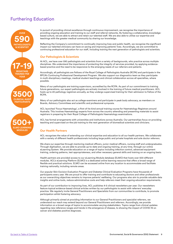# <span id="page-8-0"></span>Furthering Education



In pursuit of providing clinical excellence through continuous improvement, we recognise the importance of providing ongoing education and training to our staff and referral networks. By fostering a collaborative, knowledgebased culture, we are able to attract and retain our talented staff. We are also able to utilise our expertise and teachings with the greater medical community by sharing our knowledge.

Reflecting the Company's commitment to continually improving lives and public health, we recognise the significant impact our talented clinicians can have on saving and improving patients' lives. Accordingly, we are committed to continuing professional education for our staff, including training the next generation of pathologists and scientists.

#### **Our Pathologists & Scientists**

At ACL, we have over 590 pathologists and scientists from a variety of backgrounds, who practice across multiple disciplines. We understand the importance of protecting the integrity of services provided, by applying evidencebased practice and the need to be responsive to the emerging needs of our referrers and patients.

Accordingly, all pathologists are Fellows of the Royal College of Pathologists Australia (RCPA) and participate in the RPCA's Continuing Professional Development Program. We also support our diagnostics team as they participate in multi-disciplinary meetings, medical student teachings and clinical collaboration across all specialties, where possible.

Many of our pathologists are training supervisors, accredited by the RCPA. As part of our commitment to training future generations, our expert pathologists are actively involved in the training of future medical practitioners. ACL hosts up to 20 pathology registrars annually, as they undergo supervised training for their admission to Fellow of the RCPA.

Many of our pathologists also act as college examiners and participate in peak body advocacy, as members on Boards, Advisory Committees and scientific and professional symposia.

ACL launched 'Focus Haematology', a first-of-its-kind annual training course for Haematology Registrars around Australia. This involves Haematology experts from across the country attending and presenting materials to assist registrars in preparing for their Royal College of Pathologists Haematology examinations.

ACL has formal arrangements with universities and institutions across Australia. Our partnerships focus on providing teaching and supervised on-the-job training to the next generation of biomedical scientists and clinicians.

#### **Our Health Partners**

ACL recognises the value of extending our clinical expertise and education to all our health partners. We collaborate with a variety of different health professionals including large public and private hospitals and sole doctor referrers.

We share our expertise through mentoring medical officers, junior medical officers, nursing staff and undergraduates. Through digitisation, we are able to provide up-to-date and ongoing training, at any time, through our online eLearning System. We provide education on a range of topics including infection control, advanced equipment training, ordering patterns, test appropriateness, and other necessary general skills and training on an ongoing basis.

Health partners are provided access to our eLearning Module database (ELMO) that hosts over 500 different modules. ACL's eLearning Platform (ELMO) is a dedicated online learning resource that offers a broad range of flexible and practical solutions. ELMO can be accessed online from any location to accommodate and facilitate training nationally, including remote areas.

Our popular Skin Excision Evaluation Program and Diabetes Clinical Evaluation Programs have thousands of participants every year. We are proud to offer training and contribute to educating doctors and other professionals as our overarching objectives remains to improve patients' wellbeing. Our programs also aim to provide valuable data insights and online tools, reduce administrative costs and help referrers meet their ongoing education requirements.

As part of our contribution to improving lives, ACL publishes 4-5 clinical newsletters per year. Our newsletters feature topical evidence-based clinical articles written by our pathologists to assist with referrers' everyday practice. We regularly invite General Practitioners and Specialists from our communities to contribute, to promote participation whilst fostering advocacy.

Although primarily aimed at providing information to our General Practitioners and specialist referrers, we understand our reach may extend beyond our General Practitioners and referrers. Accordingly, we provide information on a broad range of topics to accommodate varying stakeholders. Topics range from clinical updates regarding new reference ranges and trends in the emergence of disease, to showing the impact of COVID-19 on cancer and diabetes positive diagnoses.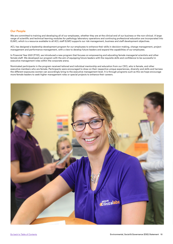#### **Our People**

We are committed to training and developing all of our employees, whether they are at the clinical end of our business or the non-clinical. A large range of scientific and technical learning modules for pathology laboratory operations and continuing professional education are incorporated into ELMO, which is a resource available to all ACL staff ELMO supports our risk management, business and staff development objectives.

ACL has designed a leadership development program for our employees to enhance their skills in decision-making, change management, project management and performance management, with a view to develop future leaders and expand the capabilities of our employees.

In Financial Year 2021 (FY21), we introduced a new program that focuses on empowering and educating female managerial scientists and other female staff. We developed our program with the aim of equipping future leaders with the requisite skills and confidence to be successful in executive management roles within the corporate arena.

Nominated participants in the program received tailored and individual mentorship and education from our CEO, who is female, and other executive members who are female. Participants were encouraged to draw on their respective unique experiences, diversity and skills and harness the different exposures women can accordingly bring to the executive management level. It is through programs such as this we hope encourage more female leaders to seek higher management roles or special projects to enhance their careers.

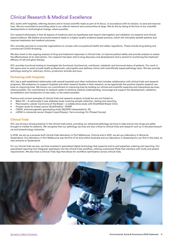# <span id="page-10-0"></span>Clinical Research & Medical Excellence

ACL works with hospitals, referring doctors and in-house scientific leads as part of its focus, in accordance with its mission, to save and improve lives. We are committed to providing value to our referral network and communities at large. We do this by being at the fore of any scientific developments or technological change, where possible.

Our research philosophy is that all aspects of medicine start as hypotheses and require interrogation and validation via research and clinicalbased evidence. We believe structured research leads to a higher-quality evidence-based practice, which will ultimately benefit patients and improve treatments and medical outcomes.

ACL provides services to corporate organisations to comply with occupational health and safety regulations. These include drug testing and commercial COVID-19 testing.

We also invest in the ongoing analysis of drug and treatment responses in clinical trials, to improve patient safety and provide analysis to assess the effectiveness of an intervention. Our research has been vital to drug discovery and development and is central to monitoring the treatment efficacy of cell and gene therapy.

ACL provides functional testing to investigate the functional, biochemical, nutritional, metabolic and hormonal status of patients. Our work in this space aims to assist private health professionals, naturopaths and wellness clinics with scientifically based pathology tests. We also provide pathology testing for veterinary clinics, production animals and zoos.

#### **Partnering with Hospitals**

ACL has a well-established relationship with several hospitals and other institutions that includes collaboration with clinical trials and research programs. We endeavour to support hospitals and other research bodies in their research, as we appreciate the positive impacts research can have on improving lives. We honour our commitment to improving lives by lending our clinical and scientific expertise and interpretive services, where possible. Our commitment to research seeks to enhance medical understanding, encourage and support the development, validation, accreditation and introduction of new tests, to the extent possible.

Previous and current examples of clinical trials and research projects include but are not limited to:

- Baker IDI A nationwide 2-year diabetes study involving sample collection, testing and reporting
- Pleomorphic Lobular Carcinoma of the Breast a collaborative study with Strathfield Breast Clinic
- Prosper study for breast cancer (EndoPredict) DHMP
- CMAX, pharmacogenetic genotyping study (MyDNA interpretation), SA
- ctDNA in colorectal cancer (Aspect Liquid Biopsy), Yarra oncology Vic (Prasad Cooray)

#### **Clinical Trials**

ACL has strong a strong presence in the clinical trials arena, providing our advanced pathology services to help ensure new drugs are safely brought to market for patients. We recognise that our pathology services are also critical to clinical trials and research such as in the pharmaceutical and biotechnology industries.

In 2018, we set up a purpose-built clinical trials laboratory in Port Melbourne, Victoria and in 2021, we set up a laboratory in Murarrie, Queensland. Our laboratory in Port Melbourne was the first of its kind within Australia and our laboratory in Queensland is our first in the state, as new entrants to Queensland.

For our clinical trials service, we have invested in specialised digital technology that supports end-to-end paperless ordering and reporting. Our specialised reporting tool integrates seamlessly into the clinical trials workflow, utilising customised iPads that interface with study and patient requirements. We also have a Clinical Trials App that allows for workflow optimisation across clinical trials.

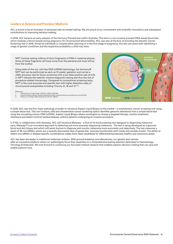#### **Leaders in Science and Precision Medicine**

ACL is proud to be an innovator in advanced new-to-market testing. We are proud of our involvement with scientific innovations and subsequent contributions to improving decision-making.

In 2016, ACL became an early adopter of the Harmony Prenatal test within Australia. This test is a non-invasive prenatal DNA-based blood test, which analyses a blood sample during pregnancy for chromosomal abnormalities. ACL was also at the fore of providing the Genetic Carrier Screening test in 2018. Aimed at individuals or couples either planning or in the first stage of pregnancy, this test can assist with identifying a range of genetic conditions and the respective probability a child may have.

MATERNAL<br>BLOODSTREAM NIPT involves testing millions of short fragments of DNA in maternal plasma. Some of these fragments will have come from the placenta and most will be from the mother. Using state-of-the-art, cell-free DNA (cfDNA) technology, the Harmony® NIPT test can be performed as early as 10 weeks' gestation and carries a >99% accuracy rate for Down syndrome with a low false-positive rate of 0.1% 3. NIPT reduces the need for invasive diagnostic testing and thus the risk of procedure-related miscarriage. Compared to conventional screening tests, NIPT is the most accurate and specific test with higher detection rates of chromosomal aneuploidies including Trisomy 21, 18 and 13<sup>1,2,3</sup>. References: 1. Stokowski et al. Prenat Diagn. 2015 Dec; 35(12): 1243-1246. 2. Demonstrated by 59 peer-reviewed published studies using the Harmony prenatal test as of Jan 2019. 3. Norton et al. N Engl J Med. 2015 Apr 23; 372 (17): 1589-97. **XIDOX FETAL DNA XIDOD** METERNAL DNA

In 2018, ACL was the first major pathology provider to introduce Aspect Liquid Biopsy to the market – a revolutionary cancer screening tool using a simple blood test. This non-invasive, safe and ultrasensitive cancer screening option identifies genomic alterations from a simple blood test using the circulating tumour DNA (ctDNA). Aspect Liquid Biopsy allows oncologists to choose a targeted therapy, monitor treatment resistance and detect minimal residual disease, without patients undergoing an invasive procedure.

In FY22, in collaboration with Geneseq, ACL will introduce Melaseq – a first-of-its-kind screening test designed to diagnosing melanoma early. Melaseq™ is an innovative approach to detecting and more precisely diagnosing melanoma. The test is being developed as a genomic blood and skin biopsy test which will assist doctors to diagnose and monitor melanoma more accurately and objectively. The test measures a panel of 38 microRNAs, which are a recently discovered class of genes that have key functionality both inside and outside of cells. The ability to detect microRNAs in disease-specific combinations makes them ideal candidates for differentiating between healthy and cancerous states.

ACL has been the leader in traditional molecular analysis. With ground-breaking core laboratories, our genetic test centres offer an innovative platform where our pathologists focus their expertise on a comprehensive testing selection dedicated to Haematology, Oncology & Antenatal. We look forward to continuing our focussed medical research that enables superior decision-making that can save and enable patients' lives.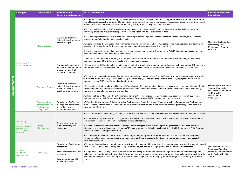<span id="page-12-0"></span>

|               | <b>Category</b>                                          | <b>General Issue</b>                                                    | <b>SASB Metric /</b><br><b>Performance Measure</b>                                                         | <b>ACL's Contribution</b>                                                                                                                                                                                                                                                                                                                                                                               | <b>Related Policies and</b><br><b>Procedures</b>                                                                                               |
|---------------|----------------------------------------------------------|-------------------------------------------------------------------------|------------------------------------------------------------------------------------------------------------|---------------------------------------------------------------------------------------------------------------------------------------------------------------------------------------------------------------------------------------------------------------------------------------------------------------------------------------------------------------------------------------------------------|------------------------------------------------------------------------------------------------------------------------------------------------|
|               |                                                          |                                                                         |                                                                                                            | ACL operates a courier network that picks up samples from sites, as often as three times a day, and transfers them to the appropriate<br>central laboratories. ACL is committed to minimising its emissions from mobile sources and is consciously investing in environmentally<br>friendly resources to increase sustainability, including the digitisation of key parts of its systems.               |                                                                                                                                                |
|               |                                                          |                                                                         |                                                                                                            | ACL is successfully limiting GHG emissions through investing and installing GPS tracking systems in its fleet vehicles, aimed at<br>minimising emissions, reducing fleet operation costs and optimising its courier routes further.                                                                                                                                                                     |                                                                                                                                                |
|               |                                                          |                                                                         | Description of efforts to<br>reduce the environmental                                                      | ACL is seeking further alternative investments, including low carbon hybrid vehicles and trials of electric vehicles, to make mobile<br>sources more efficient and reduce emissions further.                                                                                                                                                                                                            |                                                                                                                                                |
|               |                                                          | <b>Mobile Sources</b>                                                   | impact of logistics                                                                                        | ACL acknowledges the work-related environmental impacts commuting can have. ACL seeks to minimise operating and commuting<br>travel emissions by offering flexible working practices to employees, where practicably possible.                                                                                                                                                                          | Fleet Vehicles Procedure,<br><b>Fleet Management</b><br>Maintenance Program                                                                    |
|               |                                                          |                                                                         |                                                                                                            | Due to the increased use of online meetings and employees working remotely throughout the COVID-19 pandemic, businesses have<br>been able to minimise workplace-related emissions.                                                                                                                                                                                                                      | Protocol.                                                                                                                                      |
|               |                                                          |                                                                         |                                                                                                            | Whilst ACL facilitates remote working, the Company notes the potential impact of additional domestic emissions, from increased<br>working at home and the difficulty of tracking these individual impacts.                                                                                                                                                                                              |                                                                                                                                                |
|               | <b>Greenhouse Gas</b><br>(GHG) Emissions                 |                                                                         | Payload fuel economy, #<br>vehicles in the fleet, motor<br>engine type and # of<br>kilometres travelled.   | ACL currently has 332 motor vehicles in its courier fleet, all of which have a four-cylinder or less engine. Implementing GPS tracking in<br>courier fleet vehicles has increased fleet sustainability, optimised courier routes and sample collection efficiency, as anticipated.                                                                                                                      |                                                                                                                                                |
| Environmental |                                                          | <b>Stationary Sources</b>                                               | Description of efforts to<br>reduce the environmental<br>impact at facilities,<br>countries of operations. | ACL currently operates in two countries; Australia and Malaysia. As part of the Company's response to the requirements for Australia<br>to meet the Paris Climate Agreement goal, ACL proactively engages with landlords on renewable energy projects, with a view to<br>materially reduce GHG emissions and carbon footprint.                                                                          |                                                                                                                                                |
|               |                                                          |                                                                         |                                                                                                            | ACL has joined with its landlord at Clayton (ACL's registered office and principal place of business) in green energy initiatives whereby<br>it is working with the landlord to have solar photovoltaic panels (Solar Panels) installed to increase business resilience by reducing<br>energy usage, overall emissions and energy bills.                                                                | <b>Environmental Protection</b><br>Agency Changes to<br>Vehicle Details Procedure,<br><b>Audit Checklist</b><br>Environmental /<br>Veterinary. |
|               |                                                          |                                                                         |                                                                                                            | ACL's back office in Malaysia efficiently manages non-client-facing functions including data entry, accounts receivable, payables<br>management and some information technology services from its 4 star NABERs shared services centre site.                                                                                                                                                            |                                                                                                                                                |
|               |                                                          | <b>Regulatory Risk</b><br>Management and<br>Environmental<br>Compliance | Description of efforts to<br>manage non-compliance<br>and reduce overall<br>environmental impact           | ACL's suite of Environmental Policies (including Environmental Protection Agency Changes to Vehicle Procedure and Environmental<br>Audit Checklist) aims to keep ACL accountable for sustainable practice and is committed to increasing efficiency to minimise our<br>environmental footprint.                                                                                                         |                                                                                                                                                |
|               |                                                          |                                                                         |                                                                                                            | ACL is committed to transitioning facilities, to be more environmentally viable, energy efficient and sustainable, to the extent possible.                                                                                                                                                                                                                                                              |                                                                                                                                                |
|               | <b>Air Quality</b>                                       |                                                                         | Total energy consumed:                                                                                     | ACL has installed light sensors and LED lighting at the majority of its main and larger hospital laboratories, as part of the Company's<br>commitment to invest in long-term sustainable business alternatives.                                                                                                                                                                                         |                                                                                                                                                |
|               | (Upstream suppliers<br>and downstream<br>product use not | Energy<br>Management                                                    | % grid electricity vs %<br>renewable                                                                       | ACL's main laboratory located in Adelaide was specifically designed with a focus on optimising efficiencies, including workflow<br>efficiency and energy efficiency. Accordingly, ACL's main laboratory in Adelaide has been fitted with LED lighting and Solar Panels as<br>a means to minimise energy consumption.                                                                                    |                                                                                                                                                |
|               | included)                                                |                                                                         |                                                                                                            | ACL limits operational emissions at its main laboratory in Clayton, by electrical monitoring, which optimises power management.<br>Through monitoring consumption, ACL is able to achieve continual improvement in its environmental performance and prevent<br>unnecessary pollution.                                                                                                                  |                                                                                                                                                |
|               |                                                          |                                                                         | Description of policies and<br>procedures                                                                  | ACL has implemented an accountability framework including a range of internal reporting requirements, best practice procedures and<br>policies, across various states to support Company initiatives, focused on managing water and wastewater management.                                                                                                                                              | Lab Environmental Water<br><b>Testing and Samples</b>                                                                                          |
|               | Water &<br>Wastewater<br>Management                      | <b>Water Usage</b>                                                      | Wastewater treatment and<br>discharge                                                                      | ACL operates a water testing service in various states and has appropriate documentation to guide how to efficiently manage the<br>collection and operation of water samples. Relevant policies and procedures employed incorporate climate change strategy into water<br>management to support the Company in its pursuit of minimising water use, managing water discharge and protecting local water | Procedure, Environmental<br><b>Water Testing Quality</b><br>Control.                                                                           |
|               |                                                          |                                                                         | Total amount of: rain (if<br>any) vs local water                                                           | sources.                                                                                                                                                                                                                                                                                                                                                                                                |                                                                                                                                                |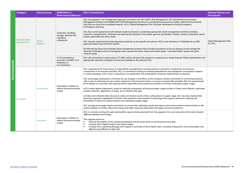<span id="page-13-0"></span>

|               | <b>Category</b>                        | <b>General Issue</b>     | <b>SASB Metric /</b><br><b>Performance Measure</b>                                 | <b>ACL's Contribution</b>                                                                                                                                                                                                                                                                                                                                                                                                                                                                                                                                                                                                                                                                                                                                                                                                                                                                                                                                                                                                                                                                                                                                                                                                                                                                                                                                                                                                                                                                                                                                                                                           | <b>Related Policies and</b><br><b>Procedures</b> |
|---------------|----------------------------------------|--------------------------|------------------------------------------------------------------------------------|---------------------------------------------------------------------------------------------------------------------------------------------------------------------------------------------------------------------------------------------------------------------------------------------------------------------------------------------------------------------------------------------------------------------------------------------------------------------------------------------------------------------------------------------------------------------------------------------------------------------------------------------------------------------------------------------------------------------------------------------------------------------------------------------------------------------------------------------------------------------------------------------------------------------------------------------------------------------------------------------------------------------------------------------------------------------------------------------------------------------------------------------------------------------------------------------------------------------------------------------------------------------------------------------------------------------------------------------------------------------------------------------------------------------------------------------------------------------------------------------------------------------------------------------------------------------------------------------------------------------|--------------------------------------------------|
| Environmental | <b>Waste &amp; Waste</b><br>Management | Waste<br><b>Disposal</b> | Treatment, handling,<br>storage, disposal and<br>regulatory<br>compliance          | ACL has adopted a risk management approach consistent with ISO 31000: Risk Management, ISO 1400:2004 Environmental<br>Management Systems and AS4801:2001 WHS Management Systems for managing the exposure to health, safety & environmental<br>risks that can arise from workplace hazards. ACL's 'Waste Management Plan' has been developed including Emergency<br>Contingency planning.<br>ACL has current agreements with relevant waste businesses to undertake appropriate waste management activities including<br>collection, transportation, treatment and appropriate disposal of recyclable, general, putrescible, medical, sanitary, hazardous, liquid,<br>sharps, prescribed and other waste.<br>ACL has also implemented waste disposal procedures as site-specific documents. ACL's main laboratory in Adelaide has an EPA<br>approved waste trap catchment system.<br>All laboratories have a documented waste management program that includes procedures on how to dispose of and manage the<br>disposal of biological and non-biological waste, quarantine waste, sharps and broken glass, "uncontaminated" waste and exotic<br>material waste.                                                                                                                                                                                                                                                                                                                                                                                                                                                   | Waste Management Plan<br>For ACL                 |
|               |                                        |                          | % of incinerated vs<br>recycled vs landfill; % of<br>hazardous vs<br>non-hazardous | ACL will commission a waste audit in FY 2022, which will assist the company in assessing our waste disposal. Waste classification and<br>appropriate reduction strategies will become available at the relevant time.                                                                                                                                                                                                                                                                                                                                                                                                                                                                                                                                                                                                                                                                                                                                                                                                                                                                                                                                                                                                                                                                                                                                                                                                                                                                                                                                                                                               |                                                  |
|               | Ecological                             | Environment              | Description of efforts to<br>reduce the environmental<br>impact                    | ACL understands the importance of sustainability considerations including pollution prevention, biodiversity and resource<br>conservation in its business activities. ACL is committed to having its material dependencies and subsequent consumption impacts<br>on nature assessed, with a view to reporting on its assessment and sustainability measures implemented, as required.<br>ACL encourages employees to minimise the use of paper in the office, as the Company remains committed to minimising emissions<br>with a view to achieving net-zero carbon emissions in the long-term future, or as soon as practicably possible. ACL has programmed<br>print-release on its printers that requires staff to login before documents are printed to minimise unnecessary paper usage.<br>ACL's recent digital investments, aimed at reducing unnecessary printing and paper usage include: e-Orders and e-Results, optimised<br>sample collection, digitisation of slides, and a Clinical Trials App.<br>e-Orders and e-Results allow doctors to order and receive results online, cutting down on paper usage. ACL has also implemented<br>electronic signature capabilities in Clinical Trials operations and invested in technology that supports electronic ordering and<br>downloads to reduce its carbon footprint and subsequent paper usage.<br>ACL strongly encourages clients and doctors to access their pathology results and reports and communications electronically, to the<br>extent possible, to further reduce the energy and water resources associated with paper and print production. |                                                  |
|               |                                        | Innovation               | Description of efforts to<br>reduce the environmental<br>impact                    | ACL is currently working through sustainability opportunities presented from the upgrade of its core Laboratory Information System<br>(LIS) and database technology.<br>This upgrade serves to:<br>improve the stability of the underlying database and eliminate limits on archiving historical data,<br>$\bullet$<br>increase ACL's digital footprint and reduce paper,<br>$\bullet$<br>increase ACL's operating leverage with respect to activities of the e-Health team, including making ACL more sustainable, cost<br>$\bullet$<br>effective and efficient to deal with.                                                                                                                                                                                                                                                                                                                                                                                                                                                                                                                                                                                                                                                                                                                                                                                                                                                                                                                                                                                                                                      |                                                  |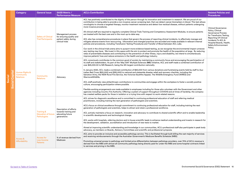<span id="page-14-0"></span>

|                             | Category                                        | <b>General Issue</b>                                                | <b>SASB Metric /</b><br><b>Performance Measure</b>                                         | <b>ACL's Contribution</b>                                                                                                                                                                                                                                                                                                                                                                                                                                                                                                                                                                                                                                                                                                                                                                                                                                                                                                                                                                                                                                                                                                                                                                                                                                                                                                                                                                                                                                                                                                                                          | <b>Related Policies and</b><br><b>Procedures</b>                                                                                                                                                                             |
|-----------------------------|-------------------------------------------------|---------------------------------------------------------------------|--------------------------------------------------------------------------------------------|--------------------------------------------------------------------------------------------------------------------------------------------------------------------------------------------------------------------------------------------------------------------------------------------------------------------------------------------------------------------------------------------------------------------------------------------------------------------------------------------------------------------------------------------------------------------------------------------------------------------------------------------------------------------------------------------------------------------------------------------------------------------------------------------------------------------------------------------------------------------------------------------------------------------------------------------------------------------------------------------------------------------------------------------------------------------------------------------------------------------------------------------------------------------------------------------------------------------------------------------------------------------------------------------------------------------------------------------------------------------------------------------------------------------------------------------------------------------------------------------------------------------------------------------------------------------|------------------------------------------------------------------------------------------------------------------------------------------------------------------------------------------------------------------------------|
|                             |                                                 | <b>Safety of Clinical</b><br><b>Trial Participants</b>              | Management process<br>for ensuring quality and<br>patient safety during<br>clinical trials | ACL has positively contributed to the dignity of the person through its innovation and investment in research. We are proud of our<br>contribution in being able to provide a non-invasive cancer screening test, that can detect cancer biomarkers in blood. This test allows<br>oncologists to choose a targeted therapy, monitor treatment resistance and detect low residual disease, without patients undergoing<br>more invasive procedures.<br>All clinical staff are required to regularly complete Clinical Trials Training and Competency Assessment Modules, to ensure patients<br>are treated with the best care and in the most up-to-date way.<br>ACL also has comprehensive procedures in place that govern the process of reporting clinical incidents, to effectively manage and<br>mitigate adverse events from reoccurring. Information and changed practices are recorded and made available in relevant internal<br>policies and procedures, including Transfusion Testing Procedures and Transfer of Blood between ACL Labs.<br>Our work in the clinical trials arena aims to purport more evidence-based testing, as we recognise the environmental impact unneces-<br>sary testing may have. We invest in this space with the aim to protect and promote the health of the population at large. By reducing<br>rates of preventable diseases and contributing to the prevention of other illness, injury and disability, we intend to simultaneously<br>improve patients' lives and reduce emissions in the health and pathology industry. | <b>Clinical Governance</b><br>Policy, Clinical<br><b>Governance Process</b><br>for Transfusion Testing,<br><b>Reporting Of Clinical</b><br>Incidents To ACL &<br>Hospital Boards, Health,<br>Safety & Environment<br>Policy. |
| Capital<br>Social<br>Social | Human Rights &<br>Community<br><b>Relations</b> | Community<br><b>Relations</b>                                       | Advocacy                                                                                   | ACL consciously contributes to the common good of society by maintaining a community focus and encouraging the participation of<br>its staff and stakeholders. As part of the 'May 50K' Multiple Sclerosis (MS) initiative, ACL and staff made a combined contribution of<br>over \$25,000.00 to MS Research, being the 4th largest contribution nationally.<br>In January 2020, ACL made a combined contribution of \$50,000 from various donations and fundraising events held by staff to Aus-<br>tralian Red Cross (\$20,000) and (\$30,000) to national and statewide disaster relief and recovery charities, including the<br>Salvation Army, the NSW Rural Fire Service, the Victorian Bushfire Appeal, The Wildlife Emergency Fund (WIRES) and<br>Warriors4Wildlife.<br>ACL staff positively view philanthropic contributions to communities and engage within the workplace to foster a socially positive<br>culture, encouraging participation where possible.<br>Flexible working arrangements are made available to employees including for those who volunteer with the Government and other<br>agencies including Country Fire Authority. Offering a system of support throughout COVID19 and at times of hardship, the company<br>has created welfare packs for those in isolation or a trying time with respect to work-related reasons.                                                                                                                                                                                                           |                                                                                                                                                                                                                              |
|                             |                                                 | <b>Training &amp;</b><br><b>Education of future</b><br>Pathologists | Description of efforts<br>towards training and<br>educating future<br>generations          | ACL strives for diagnostic excellence and is committed to continuing professional education of staff and referring medical<br>practitioners, including training the next generation of pathologists and scientists.<br>ACL's focus on clinical excellence through commitment to continuing professional education for staff, including training the next<br>generation of pathologists and scientists, helps to attract and retain a professional workforce.<br>ACL actively maintains a focus on research, innovation and advocacy to contribute to shared scientific effort and to enable leadership<br>in scientific developments and technological change.<br>ACL works with hospitals, referring doctors and in-house scientific leads to enhance medical understanding and invests in research for<br>the development, validation, accreditation and introduction of new tests to market.<br>Aimed at improving scientific understanding and knowledge in our communities, ACL's professional staff also participate in peak body<br>advocacy, as members on Boards, Advisory Committees and scientific and professional symposia.                                                                                                                                                                                                                                                                                                                                                                                                                           |                                                                                                                                                                                                                              |
|                             | Access &<br>Affordability                       | Access for<br>Low-Income<br><b>Patients</b>                         | % of revenue derived from<br>Medicare                                                      | ACL aims to provide an inclusive and accessible pathology service. This is facilitated through bulk-billing the vast majority of services<br>and receiving reimbursements through the Australian Government's Medicare Benefits Schedule (MBS).<br>Promoting universal access to pathology and limited price differentiation between pathology providers, over 70% of ACL's revenue is<br>derived from the MBS with almost all community pathology being directly paid for under the MBS and some hospital contracts linked<br>to services and pricing in the MBS.                                                                                                                                                                                                                                                                                                                                                                                                                                                                                                                                                                                                                                                                                                                                                                                                                                                                                                                                                                                                 |                                                                                                                                                                                                                              |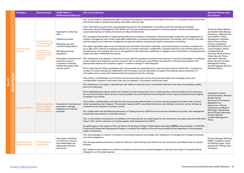<span id="page-15-0"></span>

|                                 | <b>Category</b>                                           | <b>General Issue</b>                                                                                                                                                  | <b>SASB Metric /</b><br><b>Performance Measure</b>                                                                                                                                                                                                                | <b>ACL's Contribution</b>                                                                                                                                                                                                                                                                                                                                                                                                                                                                                                                                                                                                                                                                                                                                                                                                                                                                                                                                                                                                                                                                                                                                                                                                                                                                                                                                                                                                                                                                                                                                                                                                                                                                                                                                                                                                                                                                                                                                                                                                                                                                                                                                                                                                                                                                                                                                                 | <b>Related Policies and</b><br><b>Procedures</b>                                                                                                                                                                                                                                                                                                                                                                                                                                            |
|---------------------------------|-----------------------------------------------------------|-----------------------------------------------------------------------------------------------------------------------------------------------------------------------|-------------------------------------------------------------------------------------------------------------------------------------------------------------------------------------------------------------------------------------------------------------------|---------------------------------------------------------------------------------------------------------------------------------------------------------------------------------------------------------------------------------------------------------------------------------------------------------------------------------------------------------------------------------------------------------------------------------------------------------------------------------------------------------------------------------------------------------------------------------------------------------------------------------------------------------------------------------------------------------------------------------------------------------------------------------------------------------------------------------------------------------------------------------------------------------------------------------------------------------------------------------------------------------------------------------------------------------------------------------------------------------------------------------------------------------------------------------------------------------------------------------------------------------------------------------------------------------------------------------------------------------------------------------------------------------------------------------------------------------------------------------------------------------------------------------------------------------------------------------------------------------------------------------------------------------------------------------------------------------------------------------------------------------------------------------------------------------------------------------------------------------------------------------------------------------------------------------------------------------------------------------------------------------------------------------------------------------------------------------------------------------------------------------------------------------------------------------------------------------------------------------------------------------------------------------------------------------------------------------------------------------------------------|---------------------------------------------------------------------------------------------------------------------------------------------------------------------------------------------------------------------------------------------------------------------------------------------------------------------------------------------------------------------------------------------------------------------------------------------------------------------------------------------|
| <b>Social Capital</b><br>Social | <b>Privacy &amp; Data</b><br>Security                     | <b>Customer Privacy</b><br>& Use of Personal<br>Information (PI)<br>and other data for<br>secondary purposes<br>(legal proceedings,<br>clinical trials,<br>marketing) | Approach to collecting<br>data<br>Obtaining consent<br>Managing user and<br>customer expectations<br>Managing evolving<br>regulations<br>Description of policies and<br>practices to secure<br>customers' Protected<br>Health Information (PHI)<br>records and PI | ACL is committed to upholding the right to privacy, the protection of personal and health information in accordance with privacy laws<br>and actively seeks to prevent and reduce information security risks.<br>ACL's information security policy and standards framework was established in accordance with the international standard<br>Information Security Management (ISO 27001). ACL has also employed procedures for archiving patient results and performing<br>system data backup on testing instruments at relevant laboratories.<br>ACL recognises the benefits of implementing effective consultation mechanisms, which encourage cooperation and engagement of<br>workers, management and or/other applicable stakeholders (contractors/medical practitioners). Accordingly, ACL's privacy and data<br>policies support and outline the management of personal relations and personal, health and business information.<br>ACL takes reasonable steps to ensure that personal and health information collected, used and disclosed is accurate, complete and<br>up to date. ACL's internal and external policies aim to protect restricted, confidential or sensitive data from loss and limit exposure to<br>accidental loss. Accordingly, ACL has no risk appetite for the intentional, deliberate or negligent use of information including personal,<br>health and other confidential information.<br>ACL implements and operates IT security in-house, with the assistance of partners and common IT security technologies to challenge,<br>protect, detect and respond to security concerns. ACL is consciously using eWaste recycling firms, that securely transport and<br>appropriately destroy the Company's legacy IT assets to manage IT waste disposal.<br>ACL's Cyber Security Policy establishes and communicates the expectations for cyber security protocols within ACL, including the<br>conduct of routine testing and collaboration with third-party security specialists to support the ongoing, secure, protection of<br>information and to assist with implementing the Company's security roadmap.<br>ACL's Ethics, Confidentiality and Customer Service procedure sets out the protocols associated with managing privacy and<br>confidentiality of patient's information that may be released, in accordance with privacy laws. | <b>Archiving Patient Results</b><br>and System Data Backup<br>Procedure, Malware And<br>Vulnerability / Patch,<br><b>Management Standard</b><br>Policy, Privacy Policy,<br>Privacy, Complaints,<br>Confidentiality & Duty Of<br>Care Procedure, Ethics,<br>Confidentiality &<br><b>Customer Service Policy,</b><br><b>Cyber Security Policy,</b><br><b>Information Security</b><br>Policy, Security Incident<br>Management Policy,<br><b>External Supplier Security</b><br>Standard Policy, |
|                                 | <b>Customer Welfare</b>                                   | Services provided<br>that may create<br>health or safety<br>risks to patients                                                                                         | Description of policies and<br>practices to manage<br>expectations of service<br>provided                                                                                                                                                                         | ACL endeavours to be agile in responding to the needs of customers and is continually looking for new ways of providing a quality<br>service to customers.<br>ACL's established procedures (which are consistent across the business), focus on best practice, clinical excellence and continuous<br>service improvements, which serves to improve patient care and treatment, promoting the common good and preserving the dignity<br>of people in our society.<br>ACL's Ethics, Confidentiality and Customer Service procedure benchmarks a minimum standard expected of staff in their conduct<br>whilst representing the Company. This standard requires staff to use ethical behaviour and maintain a customer-centric attitude as<br>customer service remains a Company priority.<br>ACL collaborates with the National Association of Testing Authority (NATA) to ensure service standards and quality, risk management<br>and process improvement in scientific practice.<br>ACL is committed to ensuring the accreditation of its laboratories, as a public good for the community and quality assurance that adds<br>value to ACL and its customers, by hosting regular audit assessments by NATA.<br>All pathologists in the employ of ACL are fellows of the Royal College of Pathologists Australasia (RCPA) and participate in the RCPA's<br>Continuing Professional Development Program, to protect the integrity of the services provided and be responsive to the emerging<br>needs of customers.                                                                                                                                                                                                                                                                                                                                                                                                                                                                                                                                                                                                                                                                                                                                                                                                                                                        | <b>Guideline for Good</b><br><b>Clinical Practice, National</b><br><b>Model Clinical</b><br>Governance Framework<br>Regulations for<br>Supervision, Clinical<br>Governance of Medical<br>Pathology Laboratories,<br><b>Good Clinical Laboratory</b><br>Practice (GCLP),<br><b>Incident Management</b><br>Policy.                                                                                                                                                                            |
|                                 | <b>Selling Practice &amp;</b><br><b>Product Labelling</b> | <b>Pricing &amp; Billing</b><br><b>Transparency</b>                                                                                                                   | Description of policies<br>or initiatives to ensure<br>that stakeholders are<br>adequately informed<br>about price                                                                                                                                                | ACL acknowledges its industry is sensitive to pricing fluctuations; accordingly, ACL endeavours to manage such changes proactively<br>and with transparency.<br>ACL has appropriate procedures in place for collection centre billing codes that set out the commonly used billing codes at relevant<br>facilities.<br>ACL makes its best endeavours to inform and discuss costs and any potential changes to costs that may result in the patient being<br>charged an out-of-pocket expense.                                                                                                                                                                                                                                                                                                                                                                                                                                                                                                                                                                                                                                                                                                                                                                                                                                                                                                                                                                                                                                                                                                                                                                                                                                                                                                                                                                                                                                                                                                                                                                                                                                                                                                                                                                                                                                                                             | <b>Pricing Changes Affecting</b><br>PIRSA, Collection Centre<br>And Billing Codes, Initial<br>Assessment: Billing Code<br>Procedure.                                                                                                                                                                                                                                                                                                                                                        |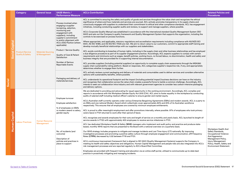<span id="page-16-0"></span>

|               |               | <b>Category</b>                                       | <b>General Issue</b>                      | <b>SASB Metric /</b><br><b>Performance Measure</b>                                                                                                                                                                                                                                                                                                                                         | <b>ACL's Contribution</b>                                                                                                                                                                                                                                                                                                                                                                                                                                                                                                                                                                                                                                                                                                                                                                                                                                                                                                                                                                                                                                                                                                                                                                                                                                                                                                                                                                                                                                                                                                                                                                                                                                                                                                                                                                                                                                                                                                                                                                                                                                                                                                                                                                                                         | <b>Related Policies and</b><br><b>Procedures</b>                                                                                                                                                      |
|---------------|---------------|-------------------------------------------------------|-------------------------------------------|--------------------------------------------------------------------------------------------------------------------------------------------------------------------------------------------------------------------------------------------------------------------------------------------------------------------------------------------------------------------------------------------|-----------------------------------------------------------------------------------------------------------------------------------------------------------------------------------------------------------------------------------------------------------------------------------------------------------------------------------------------------------------------------------------------------------------------------------------------------------------------------------------------------------------------------------------------------------------------------------------------------------------------------------------------------------------------------------------------------------------------------------------------------------------------------------------------------------------------------------------------------------------------------------------------------------------------------------------------------------------------------------------------------------------------------------------------------------------------------------------------------------------------------------------------------------------------------------------------------------------------------------------------------------------------------------------------------------------------------------------------------------------------------------------------------------------------------------------------------------------------------------------------------------------------------------------------------------------------------------------------------------------------------------------------------------------------------------------------------------------------------------------------------------------------------------------------------------------------------------------------------------------------------------------------------------------------------------------------------------------------------------------------------------------------------------------------------------------------------------------------------------------------------------------------------------------------------------------------------------------------------------|-------------------------------------------------------------------------------------------------------------------------------------------------------------------------------------------------------|
|               | Capital       | <b>Product/Service</b><br><b>Quality &amp; Safety</b> | <b>Materials Sourcing</b><br>& Management | Process involved when<br>engaging a supplier<br>(screening, selection,<br>monitoring and<br>engagement with<br>suppliers), including<br>supplier's commitment<br>to and/or alignment with<br><b>ACL's ESG Position (where</b><br>applicable).<br>Product / Service Quality<br><b>Quality of Care &amp; Patient</b><br>Satisfaction<br><b>Number of Serious</b><br><b>Reportable Events</b> | ACL is committed to ensuring the safety and quality of goods and services throughout the value chain and recognises the ethical<br>significance of where and how materials and services are sourced. ACL actively promotes transparency in its supply chains and<br>consciously engages with suppliers to understand their commitment to ethical and other compliance standards. ACL has engagement<br>initiatives, including conducting supplier audits and reviews, to support and manage suppliers, where possible.<br>ACL's Corporate Quality Manual was established in accordance with the international standard Quality Management System (ISO<br>9001) and sets out the Company's quality framework and Quality Management System that supports the organisation, including the<br>controls to be exercised on process functions.<br>Where appropriate, and applicable, statutory regulations and accreditation requirements including compliance with AS/NZS ISO<br>9001, AS ISO 15189, and AS ISO/IEC 17025 are met. We aim to return value to our customers, commit to appropriate staff training and<br>develop mutually beneficial relationships with our suppliers and stakeholders.<br>ACL avoids contributing to breaches of human rights, including in the supply chain and other business relationships and has employed<br>a due diligence procedure as part of its supplier engagement practice. Accordingly, ACL expects suppliers to comply with certain<br>requirements and minimums such as wages, benefit policies, working hours, no forced labour, no discrimination, health and safety and<br>business integrity that are provided for in supporting internal documentation.<br>ACL provides suppliers (including potential suppliers) an opportunity to complete supply chain assessments through the MSA360<br>supply chain sustainability-rating platform. Based on responses, ACL categorises supplier's respective risk, if any, and appropriately<br>determines whether to engage them further.<br>ACL actively reviews current packaging and delivery of materials and consumables used to deliver services and considers alternative<br>options with sustainability benefits, where possible. |                                                                                                                                                                                                       |
| <b>Social</b> |               |                                                       |                                           | Packaging and delivery of<br>materials/services                                                                                                                                                                                                                                                                                                                                            | ACL understands its operational footprint and the impact (including potential impact) business decisions can have on the industry<br>and recognises that collaboration across the value chain creates a powerful force to tackle a common challenge. Accordingly, ACL<br>intends to seek out collaboration intra-industry and with relevant government agencies to consider less carbon-intensive packaging<br>and delivery options.                                                                                                                                                                                                                                                                                                                                                                                                                                                                                                                                                                                                                                                                                                                                                                                                                                                                                                                                                                                                                                                                                                                                                                                                                                                                                                                                                                                                                                                                                                                                                                                                                                                                                                                                                                                              |                                                                                                                                                                                                       |
|               | Human Capital | <b>Labour Practices</b>                               | <b>Human Resource</b><br>Management       | Employee turnover<br>Employee satisfaction<br>% of employees on EBA's<br>vs modern award vs salary,<br>gender equity                                                                                                                                                                                                                                                                       | We are dedicated to providing and advocating for equal opportunity in the working environment. Accordingly, ACL complies and<br>reports in accordance with the Workplace Gender Equity Act 2012 (Cth). ACL aims to foster equality in the workplace by conducting<br>audits of salaried staff including medical officer's salaries to ensure gender and market equity.<br>ACL's Australian staff currently operate under various Enterprise Bargaining Agreements (EBAs) and modern awards. ACL is a party to<br>six EBAs and one national Modern Award which collectively cover approximately 80% and 20% of its Australian workforce<br>respectively. This ensures that all employees are covered by minimum employee entitlements.<br>ACL is proud to offer meaningful employment and offer promotions internally, where possible. 97% of employees who took primary<br>carers leave in FY21 returned to work after their period of leave.<br>ACL recognises and awards employees for their acts and length of service on a monthly and yearly basis. ACL launched its length-of-<br>service awards in FY20 with approximately 400 employees to receive service milestones in FY21.<br>ACL has dedicated Workplace Health & Safety (WHS) managers who implement and audit policy and practice and produce state-<br>based, monthly WHS reports that are presented to the Board with a national overview on a quarterly basis.                                                                                                                                                                                                                                                                                                                                                                                                                                                                                                                                                                                                                                                                                                                                                                                                  |                                                                                                                                                                                                       |
|               |               |                                                       |                                           | No. of incidents (and<br>outcome)<br>Description of<br>policies and practices in<br>place to support                                                                                                                                                                                                                                                                                       | Our WHS strategy includes programs to mitigate and manage incidents and Lost Time Injury (LTI) nationally. By improving<br>investigative processes and promoting a positive safety culture through employee engagement and communication, LTI Frequency<br>Rates (LTIFRs) decreased by 0.52 between FY19 and FY21.<br>ACL's continuous improvement framework that is aligned to ISO 9001 (Quality Management Systems) supports the Company in<br>meeting its health and safety objectives and obligations. Human Capital Management and people risks are also integrated into ACL's<br>risk management processes and are reported regularly to ACL's Board Risk Committee.<br>Employees are provided with frequent training and education via an online staff portal, utilised to communicate up-to-date best<br>practice in proactively mitigating and managing incidents.                                                                                                                                                                                                                                                                                                                                                                                                                                                                                                                                                                                                                                                                                                                                                                                                                                                                                                                                                                                                                                                                                                                                                                                                                                                                                                                                                       | Workplace Health And<br>Safety Standards,<br><b>Occupational Violence</b><br>And Aggression<br>Management Policy,<br>Injury Management<br>Policy, Health, Safety and<br><b>Environment Statement.</b> |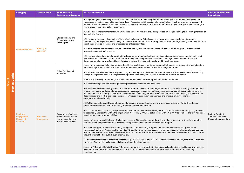<span id="page-17-0"></span>

|        |               | <b>Category</b>                | <b>General Issue</b>                      | <b>SASB Metric /</b><br><b>Performance Measure</b>                  | <b>ACL's Contribution</b>                                                                                                                                                                                                                                                                                                                                                                                                                                                                                                                                                                                                                                            | <b>Related Policies and</b><br><b>Procedures</b> |
|--------|---------------|--------------------------------|-------------------------------------------|---------------------------------------------------------------------|----------------------------------------------------------------------------------------------------------------------------------------------------------------------------------------------------------------------------------------------------------------------------------------------------------------------------------------------------------------------------------------------------------------------------------------------------------------------------------------------------------------------------------------------------------------------------------------------------------------------------------------------------------------------|--------------------------------------------------|
|        |               |                                |                                           |                                                                     | ACL's pathologists are actively involved in the education of future medical practitioners' training as the Company recognises the<br>importance of medical leadership and stewardship. Accordingly, ACL consistently has pathology registrars undergoing supervised<br>training for their admission to Fellow of the Royal College of Pathologists Australia (RCPA), with many of its experienced pathologists<br>acting as supervisors and college examiners.                                                                                                                                                                                                       |                                                  |
|        |               |                                |                                           |                                                                     | ACL also has formal arrangements with universities across Australia to provide supervised on-the-job training to the next generation of<br>biomedical scientists.                                                                                                                                                                                                                                                                                                                                                                                                                                                                                                    |                                                  |
|        |               |                                |                                           | Clinical Training and<br><b>Education of future</b><br>Pathologists | ACL invests in the medical education of its professional network. ACL designs and runs professional development programs<br>accredited by the Royal Australian College of General Practitioners for its referring medical practitioners, enabling them to continue to<br>upskill their practice in the use and interpretation of laboratory tests.                                                                                                                                                                                                                                                                                                                   |                                                  |
|        |               | <b>Labour Practices</b>        | <b>Training &amp;</b><br><b>Education</b> |                                                                     | ACL staff undergo comprehensive induction training and regular competency-based education, which are part of a standardised<br>process to manage training needs.                                                                                                                                                                                                                                                                                                                                                                                                                                                                                                     |                                                  |
|        |               |                                |                                           |                                                                     | ACL has an online education platform that involves a series of updated national training and competency assessment modules and<br>guidelines for all non-clinical staff. There are 20 Training and Competency Assessment Module guideline documents that are<br>developed for all departments and for certain job functions that need to be performed by staff members.                                                                                                                                                                                                                                                                                              |                                                  |
|        |               |                                |                                           | Other Training and<br>Education                                     | As part of its succession planning framework, ACL has established a mentoring program that focuses on empowering and educating<br>female managers and scientists to equip them with capabilities required in executive management roles.                                                                                                                                                                                                                                                                                                                                                                                                                             |                                                  |
|        |               |                                |                                           |                                                                     | ACL also delivers a leadership development program in two phases, designed for its employees to enhance skills in decision-making,<br>change management, project management and performance management, with a view to develop future leaders.                                                                                                                                                                                                                                                                                                                                                                                                                       |                                                  |
|        |               |                                |                                           |                                                                     | In FY21 ACL internally promoted 1,004 employees, with females representing 74% of internal promotions.                                                                                                                                                                                                                                                                                                                                                                                                                                                                                                                                                               |                                                  |
| Social | Human Capital |                                |                                           |                                                                     | ACL's overarching Code of Conduct governs representative activities and behaviours.<br>As detailed in this sustainability report, ACL has appropriate policies, procedures, standards and protocols including relating to code<br>of conduct, equality and diversity, corporate social responsibility, supplier relationship management, anti-bribery and anti-corrup-<br>tion, work health and safety standards, leave entitlements (including parental leave), working from home, bullying, harassment and<br>discrimination and work experience, in order to: attract and retain talent and maintain and improve employee morale,<br>engagement and productivity. |                                                  |
|        |               |                                |                                           | Description of policies<br>or initiatives to ensure                 | ACL's Communication and Consultation procedure serves to support, guide and provide a clear framework for both workplace<br>consultation and communication including inter- and intra-communication.                                                                                                                                                                                                                                                                                                                                                                                                                                                                 |                                                  |
|        |               | <b>Employee</b><br>Engagement, | <b>Employee</b>                           |                                                                     | ACL is committed to protecting Indigenous rights and has implemented an Aboriginal and Torres Strait Islander hiring program setup<br>to specifically address this within the organisation. Accordingly, ACL has collaborated with TAFE NSW to establish the first Aboriginal<br>health employment program in NSW.                                                                                                                                                                                                                                                                                                                                                   | Code of Conduct,<br>Communication and            |
|        |               | Diversity &<br>Inclusion       | Engagement                                | that stakeholders are<br>adequately informed                        | As part of the Aboriginal Pathology Collections program, ACL's collections staff provide guidance and support to assist Aboriginal<br>students with work placement. ACL has successfully employed collections staff from the program.                                                                                                                                                                                                                                                                                                                                                                                                                                | Consultation procedure.                          |
|        |               |                                |                                           |                                                                     | ACL aims to support employee's wellbeing by regularly communicating programs that the company offers. ACL provides an<br>independent Employee Assistance Program (EAP) that offers a confidential counselling service to support all its employees. We also<br>provide independent finance and career services as part of EAP. Further information is available to employees on the staff intranet as<br>relevant external bodies publish such information.                                                                                                                                                                                                          |                                                  |
|        |               |                                |                                           |                                                                     | We also offer employees an employee benefits program that includes offers for discounted services and items, from time to time. We<br>are proud of our ability to align and collaborate with national companies.                                                                                                                                                                                                                                                                                                                                                                                                                                                     |                                                  |
|        |               |                                |                                           |                                                                     | As part of ACL's Initial Public Offering, ACL offered employees an opportunity to acquire a shareholding in the Company or receive a<br>payment for hard work and continued efforts. ACL is proud to have been able to support more than 730 staff in becoming<br>shareholders.                                                                                                                                                                                                                                                                                                                                                                                      |                                                  |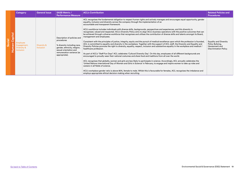<span id="page-18-0"></span>

|               |                                                     |                          | <b>Performance Measure</b>                                                                                                                                                       |                                                                                                                                                                                                                                                                                                                                                                                                                                                                                                                                                                                                                                                                                                                                                                                                                                                                                                                                                                                                                                                                                                                                                                                                                                                                                                                                                                                                                                                                                                                                                                                                                                                                                                                                                                                                                                                                              | <b>Procedures</b>                                                                             |
|---------------|-----------------------------------------------------|--------------------------|----------------------------------------------------------------------------------------------------------------------------------------------------------------------------------|------------------------------------------------------------------------------------------------------------------------------------------------------------------------------------------------------------------------------------------------------------------------------------------------------------------------------------------------------------------------------------------------------------------------------------------------------------------------------------------------------------------------------------------------------------------------------------------------------------------------------------------------------------------------------------------------------------------------------------------------------------------------------------------------------------------------------------------------------------------------------------------------------------------------------------------------------------------------------------------------------------------------------------------------------------------------------------------------------------------------------------------------------------------------------------------------------------------------------------------------------------------------------------------------------------------------------------------------------------------------------------------------------------------------------------------------------------------------------------------------------------------------------------------------------------------------------------------------------------------------------------------------------------------------------------------------------------------------------------------------------------------------------------------------------------------------------------------------------------------------------|-----------------------------------------------------------------------------------------------|
| Human Capital | Employee<br>Engagement,<br>Diversity &<br>Inclusion | Diversity &<br>Inclusion | Description of policies and<br>procedures<br>% diversity including race,<br>gender, ethnicity, religion,<br>sexual orientation and<br>remuneration variance (as<br>appropriate). | ACL recognises the fundamental obligation to respect human rights and actively manages and encourages equal opportunity, gender<br>equality, inclusion and diversity across the company through the implementation of an<br>accountable and transparent framework.<br>ACL's workforce includes individuals with diverse skills, backgrounds, perspectives and experiences, and this diversity is<br>recognised, valued and respected. ACL's Diversity Policy aims to align ACL's business operations with the positive outcomes that can<br>be achieved through a diverse workforce that recognises and utilises the contribution of diverse skills and talents amongst its Board,<br>management and employees.<br>Consistent with the principles of justice, integrity, equity and the pursuit of medical excellence upon which the profession is founded.<br>ACL is committed to equality and diversity in the workplace. Together with the support of ACL staff, the Diversity and Equality and<br>Diversity Policies promote the right to diversity, equality, respect, inclusion and substantive equality in the workplace and medical /<br>healthcare profession.<br>As part of ACL's "Staff Fun Days" ACL celebrates 'Cultural Diversity Day'. On this day, employees of all different backgrounds are<br>encouraged to proudly wear their national costumes and share food and traditions from all over the world.<br>ACL recognises that globally, women and girls are less likely to participate in science. Accordingly, ACL annually celebrates the<br>'United Nations International Day of Women and Girls in Science' in February, to engage and inspire women to take up roles and<br>careers in all fields of science.<br>ACL's workplace gender ratio is above 80%, female to male. Whilst this is favourable for females, ACL recognises the imbalance and | <b>Equality and Diversity</b><br>Policy Bullying,<br>Harassment and<br>Discrimination Policy. |
|               |                                                     |                          |                                                                                                                                                                                  | employs appropriate ethical decision-making when recruiting.                                                                                                                                                                                                                                                                                                                                                                                                                                                                                                                                                                                                                                                                                                                                                                                                                                                                                                                                                                                                                                                                                                                                                                                                                                                                                                                                                                                                                                                                                                                                                                                                                                                                                                                                                                                                                 |                                                                                               |
|               |                                                     |                          |                                                                                                                                                                                  |                                                                                                                                                                                                                                                                                                                                                                                                                                                                                                                                                                                                                                                                                                                                                                                                                                                                                                                                                                                                                                                                                                                                                                                                                                                                                                                                                                                                                                                                                                                                                                                                                                                                                                                                                                                                                                                                              |                                                                                               |
|               |                                                     |                          | Go back to Table of Contents                                                                                                                                                     |                                                                                                                                                                                                                                                                                                                                                                                                                                                                                                                                                                                                                                                                                                                                                                                                                                                                                                                                                                                                                                                                                                                                                                                                                                                                                                                                                                                                                                                                                                                                                                                                                                                                                                                                                                                                                                                                              | Environmental Social & Governance (ESG) Statement 19                                          |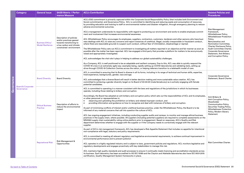<span id="page-19-0"></span>

| <b>Category</b>                            | <b>General Issue</b>                               | <b>SASB Metric / Perfor-</b><br>mance Measure                                                                                          | <b>ACL's Contribution</b>                                                                                                                                                                                                                                                                                                                                                                                                                                                                                                                                                                                                                                                                                                                                                                                                                                                                                                                                                                                                                                                                                                                                                                                                                                                                                                                                                                                                                                                                                                                                                                                          | <b>Related Policies and</b><br><b>Procedures</b>                                                                                                                                                                                                                                                |
|--------------------------------------------|----------------------------------------------------|----------------------------------------------------------------------------------------------------------------------------------------|--------------------------------------------------------------------------------------------------------------------------------------------------------------------------------------------------------------------------------------------------------------------------------------------------------------------------------------------------------------------------------------------------------------------------------------------------------------------------------------------------------------------------------------------------------------------------------------------------------------------------------------------------------------------------------------------------------------------------------------------------------------------------------------------------------------------------------------------------------------------------------------------------------------------------------------------------------------------------------------------------------------------------------------------------------------------------------------------------------------------------------------------------------------------------------------------------------------------------------------------------------------------------------------------------------------------------------------------------------------------------------------------------------------------------------------------------------------------------------------------------------------------------------------------------------------------------------------------------------------------|-------------------------------------------------------------------------------------------------------------------------------------------------------------------------------------------------------------------------------------------------------------------------------------------------|
|                                            | <b>Business Ethics/</b><br><b>Model Resilience</b> | Description of policies<br>and/or practices geared<br>towards transitioning to<br>a low carbon and climate<br>constrained environment. | ACL's ESG commitment is primarily captured within the Corporate Social Responsibility Policy (that includes both Environment and<br>Social commitments); and Governance Policy. ACL is committed to identifying and reducing waste and consumption of resources,<br>by providing education and training to staff on environmental matters and disaster mitigation, through emergency planning to reduce<br>adverse environmental outcomes.<br>ACL's management understands its responsibility with regard to protecting our environment and works to enable employee commit-<br>ment and involvement that increases environmental awareness.<br>ACL Whistleblower Policy encourages its employees, suppliers, contractors, customers, tenderers and other persons who have busi-<br>ness dealings with ACL to raise any concerns and report instances of unethical, illegal, socially irresponsible or fraudulent conduct,<br>where there are reasonable grounds to suspect such conduct, without fear of intimidation, disadvantage or reprisal.<br>The Whistleblower Policy sets out ACL's commitment to investigating all matters reported in an objective and fair manner as soon as<br>possible after the matter has been reported. ACL has engaged a third party that provides a platform for matters to be anonymously<br>raised and appropriately investigated.<br>ACL acknowledges the vital role it plays in helping to address our global sustainability challenges.<br>As a Company, ACL is well positioned to be an adaptable and resilient company. Due to this, ACL was able to quickly respond the | <b>Risk Management</b><br>Framework,<br>Whistleblower Policy,<br><b>Whistleblower Protection</b><br>Policy,<br>Remuneration and<br>Nomination Committee,<br>Charter Disclosure Policy,<br>Audit Committee Charter,<br>Corporate Governance<br>Statement, Anti-Bribery<br>and Corruption Policy. |
|                                            |                                                    |                                                                                                                                        | COVID-19 crisis in an extremely agile way; examples being, rapidly setting up COVID laboratories and validating tests, setting up<br>drive-through COVID-19 Collection Centres across the nation, or helping referrers transition to a telehealth model of care.                                                                                                                                                                                                                                                                                                                                                                                                                                                                                                                                                                                                                                                                                                                                                                                                                                                                                                                                                                                                                                                                                                                                                                                                                                                                                                                                                   |                                                                                                                                                                                                                                                                                                 |
|                                            | <b>Board Diversity</b>                             | <b>Board Diversity</b>                                                                                                                 | ACL is committed to ensuring that its Board is diverse in all its forms, including in its range of technical and human skills, expertise,<br>lived experience, backgrounds, gender, race and age.<br>ACL acknowledges that a diverse Board will result in better decision making and more sustainable value creation. ACL has<br>committed to achieving a gender diversity target on its Board of 40:40:20 (male:female:any) as is actively engaging with female<br>potential candidates.                                                                                                                                                                                                                                                                                                                                                                                                                                                                                                                                                                                                                                                                                                                                                                                                                                                                                                                                                                                                                                                                                                                          | Corporate Governance<br>Statement, Board Charter.                                                                                                                                                                                                                                               |
| <b>Board &amp; Corporate</b><br>Governance | <b>Ethical Business</b><br><b>Practice</b>         | Description of efforts to<br>reduce the environmental<br>impact                                                                        | ACL is committed to operating in a manner consistent with the laws and regulations of the jurisdictions in which its businesses<br>operate, including those relating to bribery and corruption.<br>Accordingly, the Board has adopted an anti-bribery and corruption policy which sets out the responsibilities of ACL and its employees,<br>or other personnel or representatives in:<br>observing and upholding the prohibition on bribery and related improper conduct, and<br>providing information and guidance on how to recognise and deal with instances of bribery and corruption.<br>As part of minimising conflicts of interest and/or unethical business practice, under the Whistleblower Policy, the Board is to be<br>informed of any material concerns that call into question the culture of ACL.<br>ACL has ongoing engagement initiatives, including conducting supplier audits and reviews, to monitor and manage ethical business<br>practices in the supply chain, where possible. All suppliers (including potential suppliers) are required to complete assessments on the<br>MSA360 supply chain sustainability rating online platform prior to engagement. Based on responses, ACL's Quality and Risk<br>department determines whether to engage with the supplier or if the Company needs to correctively engage with the relevant<br>supplier.                                                                                                                                                                                                                                         | Anti-Bribery &<br>Anti-Corruption Policy,<br>Shareholder<br>Communication Policy,<br>Securities Trading Policy,<br><b>Whistleblower Protection</b><br>Policy, Modern Slavery<br>Statement.                                                                                                      |
|                                            | <b>Reputational Risk</b>                           | Risk Management &<br>Opportunities                                                                                                     | As part of ACL's risk management framework, ACL has developed a Risk Appetite Statement that includes no appetite for intentional<br>non-compliance with legal, statutory and policy requirements.<br>ACL is committed to meeting all relevant regulatory and legislative environmental requirements, to achieve continual improvement in<br>environmental performance and to prevent pollution<br>ACL operates in a highly regulated industry and is subject to laws, government policies and regulations. ACL monitors legislative and<br>regulatory developments and engages proactively with key stakeholders to manage this risk.<br>ACL maintains high quality standards and audit processes to ensure it continually meets licencing and accreditation standards across<br>its business. Each laboratory has been accredited to AS ISO 15189 and the Clayton and Adelaide laboratories also have ISO 9001:2015<br>certification, Quality Management System frameworks in place.                                                                                                                                                                                                                                                                                                                                                                                                                                                                                                                                                                                                                             | <b>Risk Committee Charter.</b>                                                                                                                                                                                                                                                                  |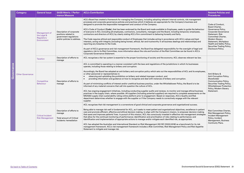<span id="page-20-0"></span>

|            | Category                            | <b>General Issue</b>                                      | <b>SASB Metric / Perfor-</b><br>mance Measure                                                             | <b>ACL's Contribution</b>                                                                                                                                                                                                                                                                                                                                                                                                                                                                                                                                                                                                                                                                                                                                                                                                                                                                                                                                                                                                                                                                                                                                                                                                                                                                                                                                                               | <b>Related Policies and</b><br><b>Procedures</b>                                                                                                                                                                                                     |
|------------|-------------------------------------|-----------------------------------------------------------|-----------------------------------------------------------------------------------------------------------|-----------------------------------------------------------------------------------------------------------------------------------------------------------------------------------------------------------------------------------------------------------------------------------------------------------------------------------------------------------------------------------------------------------------------------------------------------------------------------------------------------------------------------------------------------------------------------------------------------------------------------------------------------------------------------------------------------------------------------------------------------------------------------------------------------------------------------------------------------------------------------------------------------------------------------------------------------------------------------------------------------------------------------------------------------------------------------------------------------------------------------------------------------------------------------------------------------------------------------------------------------------------------------------------------------------------------------------------------------------------------------------------|------------------------------------------------------------------------------------------------------------------------------------------------------------------------------------------------------------------------------------------------------|
|            |                                     | Management of<br>the Legal &<br>Regulatory<br>Environment | Description of corporate<br>positions related to<br>government regulations<br>and/or policies to address. | ACL's Board has created a framework for managing the Company, including adopting relevant internal controls, risk management<br>processes and corporate governance policies and practices which it believes are appropriate for the Company's business and<br>designed to promote the responsible management and conduct of the Company.<br>ACL's Code of Conduct (Code), that has been endorsed by the Board and made available to Employees, seeks to guide the behaviour<br>of everyone in ACL (including all employees, contractors, consultants, managers and the Board, including temporary employees,<br>contractors and directors of ACL) by clearly stating ACL's firm commitment to behaving honestly and fairly.<br>The Code requires ethical and responsible conduct of Employees that includes acting in accordance with ACL's values and best<br>interests, acting with integrity (including being honest, ethical, fair and trustworthy in all business dealings and relationships) and<br>reporting any breaches to the Code.<br>As part of ACL's governance and risk management framework, the Board has delegated responsibility for the oversight of legal and<br>regulatory risk to its Risk Committee, more information about the role and function of the Risk Committee can be found in ACL's<br>Corporate Governance Statement.                                 | Code of Conduct,<br>Board Charter,<br>Governance Policy,<br>Corporate Governance<br>Statement, Risk<br>Committee Charter,<br>Modern Slavery<br>Statement, Workplace<br>Health and Safety Policy,<br>Securities Trading Policy,<br>Disclosure Policy. |
|            |                                     | <b>Taxation</b>                                           | Description of efforts to<br>manage                                                                       | ACL recognises a fair tax system is essential to the proper functioning of society and the economy. ACL observes relevant tax law.                                                                                                                                                                                                                                                                                                                                                                                                                                                                                                                                                                                                                                                                                                                                                                                                                                                                                                                                                                                                                                                                                                                                                                                                                                                      |                                                                                                                                                                                                                                                      |
| Governance | <b>Other Governance</b>             | Competitive<br><b>Behaviour</b>                           | Description of efforts to<br>manage                                                                       | ACL is committed to operating in a manner consistent with the laws and regulations of the jurisdictions in which its businesses<br>operate, including those relating to bribery and corruption.<br>Accordingly, the Board has adopted an anti-bribery and corruption policy which sets out the responsibilities of ACL and its employees,<br>or other personnel or representatives in:<br>observing and upholding the prohibition on bribery and related improper conduct, and<br>$\bullet$<br>providing information and guidance on how to recognise and deal with instances of bribery and corruption.<br>As part of minimising conflicts of interest and/or unethical business practice, under the Whistleblower Policy, the Board is to be<br>informed of any material concerns that call into question the culture of ACL.<br>ACL has ongoing engagement initiatives, including conducting supplier audits and reviews, to monitor and manage ethical business<br>practices in the supply chain, where possible. All suppliers (including potential suppliers) are required to complete assessments on the<br>MSA360 supply chain sustainability rating online platform prior to engagement. Based on responses, ACL's Quality and Risk<br>department determines whether to engage with the supplier or if the Company needs to correctively engage with the relevant<br>supplier. | Anti-Bribery &<br>Anti-Corruption Policy,<br>Shareholder<br>Communication Policy,<br>Securities Trading Policy,<br><b>Whistleblower Protection</b><br>Policy, Modern Slavery<br>Statement.                                                           |
|            |                                     | <b>Critical Incident</b><br><b>Risk Management</b>        | Description of efforts to<br>manage<br><b>Total amount of Critical</b><br>Incidents /remediation          | ACL recognises that risk management is a cornerstone of good clinical and corporate governance and organisational success.<br>Being able to manage risk well is fundamental for ACL, as it seeks to meet patient and organisational objectives, excellence in patient<br>care and promote efficient, effective and ethical decision making, to align with the Company's mission, to empower decision-making<br>that saves and improves patients' lives. In pursuit of this mission, ACL has consciously invested in effective risk management strategies<br>that allow for the continual monitoring of performance; identification and prioritisation of risks relating to performance; and<br>identification and implementation of appropriate actions to manage and/or mitigate each identified risk, as appropriate.<br>ACL has adopted the Australian and International Standard on Risk Management (AS ISO 31000:2018) as a benchmark for its risk<br>management framework. ACL's risk management framework includes a Risk Committee, Risk Management Policy and Risk Appetite<br>Statement to mitigate and manage risk.                                                                                                                                                                                                                                                          | <b>Risk Committee Charter,</b><br>Risk Management Policy,<br>Incident Management<br>Policy, Incident<br>Management, Business<br>Continuity Plans.                                                                                                    |
|            | <b>Go back to Table of Contents</b> |                                                           |                                                                                                           |                                                                                                                                                                                                                                                                                                                                                                                                                                                                                                                                                                                                                                                                                                                                                                                                                                                                                                                                                                                                                                                                                                                                                                                                                                                                                                                                                                                         | Environmental Social & Governance (ESG) Statement 21                                                                                                                                                                                                 |